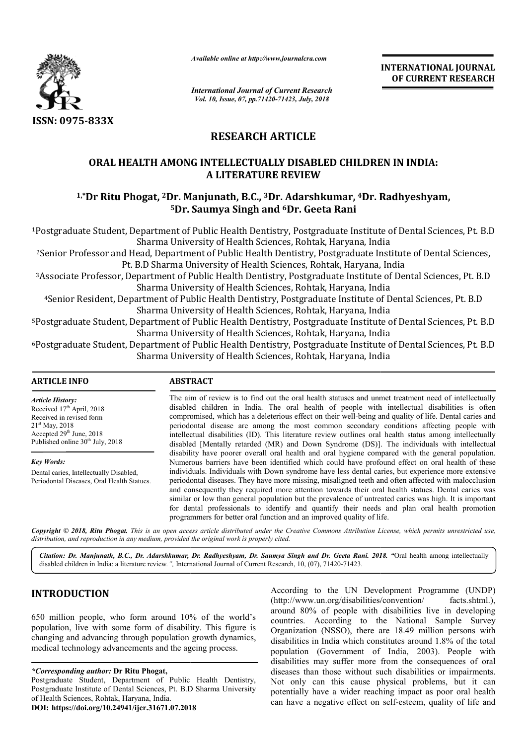

*Available online at http://www.journalcra.com*

*International Journal of Current Research Vol. 10, Issue, 07, pp.71420-71423, July, 2018*

**INTERNATIONAL JOURNAL OF CURRENT RESEARCH**

# **RESEARCH ARTICLE**

## **ORAL HEALTH AMONG INTELLECTUALLY DISABLED CHILDREN CHILDREN IN INDIA: A LITERATURE REVIEW**

## <sup>1,</sup>\*Dr Ritu Phogat, <sup>2</sup>Dr. Manjunath, B.C., <sup>3</sup>Dr. Adarshkumar, <sup>4</sup>Dr. Radhyeshyam, <sup>5</sup>Dr. Saumya Singh and <sup>6</sup>Dr. Geeta Rani

1Postgraduate Student, Department of Public Health Dentistry, Postgraduate Institute of Dental Sciences, Pt. B.D Sharma University of Health Sciences, Rohtak, Haryana, India

2Senior Professor and Head, Department of Public Health Dentistry, Postgraduate Institute of Dental Sciences, Pt. B.D Sharma University of Health Sciences, Rohtak, Haryana, India

Postgraduate Student, Department of Public Health Dentistry, Postgraduate Institute of Dental Sciences, Pt. B.D<br>Sharma University of Health Sciences, Rohtak, Haryana, India<br><sup>2</sup>Senior Professor and Head, Department of Publi Sharma University of Health Sciences, Rohtak, Haryana, India

4Senior Resident, Department of Public Health Dentistry, Postgraduate Institute of Dental Sciences, Pt. B.D Senior Haryana, India Sharma University of Health Sciences, Rohtak, Haryana

<sup>5</sup>Postgraduate Student, Department of Public Health Dentistry, Postgraduate Institute of Dental Sciences, Pt. B.D<br>Sharma University of Health Sciences, Rohtak, Haryana, India<br><sup>6</sup>Postgraduate Student, Department of Public Sharma University of Health Sciences, Rohtak, Haryana, India

6Postgraduate Student, Department of Public Health Dentistry, Postgraduate Sharma University of Health Sciences, Rohtak, Haryana, India Sharma University of Health Sciences, Rohtak, Haryana, India<br>Student, Department of Public Health Dentistry, Postgraduate Institute of Dental Sciences, Pt. B.D<br>Sharma University of Health Sciences, Rohtak, Haryana, India<br>S

## **ARTICLE INFO ABSTRACT**

*Article History:* Received 17<sup>th</sup> April, 2018 Received in revised form 21st May, 2018 Accepted 29<sup>th</sup> June, 2018 Published online  $30<sup>th</sup>$  July, 2018

*Key Words:* Dental caries, Intellectually Disabled, Periodontal Diseases, Oral Health Statues. The aim of review is to find out the oral health statuses and unmet treatment need of intellectually disabled children in India. The oral health of people with intellectual disabilities is often compromised, which has a deleterious effect on their well-being and quality of life. Dental caries and periodontal disease are among the most common secondary conditions affecting people with intellectual disabilities (ID). This literature review outlines oral health status among intellectually disabled [Mentally retarded (MR) and Down Syndrome (DS)]. The individuals with intellectual disability have poorer overall oral health and oral hygiene compared with the general population. Numerous barriers have been identified which could have profound effect on oral health of these individuals. Individuals with Down syndrome have less dental caries, but experience more extensive periodontal diseases. They have more missing, misaligned teeth and often affected with malocclusion and consequently they required more attention towards their oral health statues. Dental caries was similar or low than general population but the prevalence of untreated caries was high. It is important for dental professionals to identify and quantify their needs and plan oral health promotion programmers for better oral function and an improved quality of life.

Copyright © 2018, Ritu Phogat. This is an open access article distributed under the Creative Commons Attribution License, which permits unrestricted use, *distribution, and reproduction in any medium, provided the original work is properly cited.*

*Citation: Dr. Manjunath, B.C., Dr. Adarshkumar, Dr. Radhyeshyam, Dr. Saumya Singh and Dr. Geeta Rani. 2018 2018. "*Oral health among intellectuallydisabled children in India: a literature review*.",* International Journal of Current Research, 10, (07), 71420-71423.

## **INTRODUCTION**

650 million people, who form around 10% of the world's population, live with some form of disability. This figure is changing and advancing through population growth dynamics, medical technology advancements and the ageing process.

#### *\*Corresponding author:* **Dr Ritu Phogat,**

Postgraduate Student, Department of Public Health Dentistry, Postgraduate Institute of Dental Sciences, Pt. B.D Sharma University of Health Sciences, Rohtak, Haryana, India.

**DOI: https://doi.org/10.24941/ijcr.31671.07.2018**

According to the UN Development<br>
(http://www.un.org/disabilities/convent<br>
around 80% of people with disabilit<br>
disability. This figure is<br>
lation growth dynamics,<br>
lation growth dynamics,<br>
disabilities in India which const (http://www.un.org/disabilities/convention/ http://www.un.org/disabilities/convention/ facts.shtml.), around 80% of people with disabilities live in developing countries. According to the National Sample Survey Organization (NSSO), there are 18.49 million persons with disabilities in India which constitutes around 1.8% of the total population (Government of India, 2003). People with disabilities may suffer more from the consequences of oral diseases than those without such disabilities or impairments. Not only can this cause physical problems, but it can potentially have a wider reaching impact as poor oral health can have a negative effect on self-esteem, quality of life and According to the UN Development Programme (UNDP)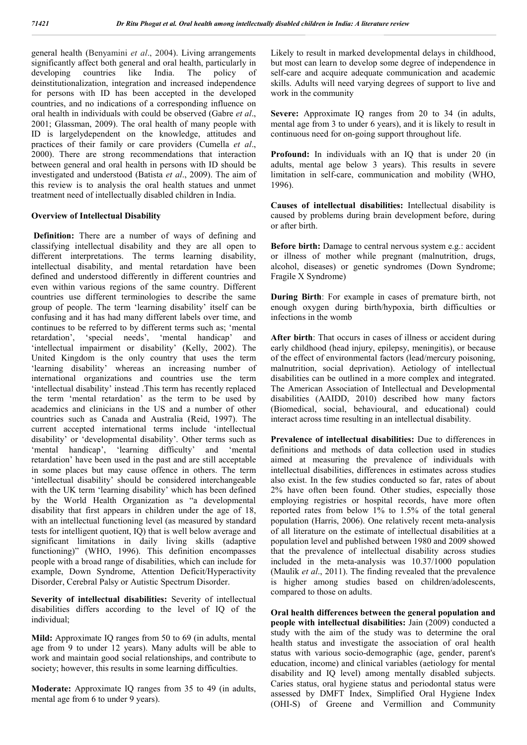general health (Benyamini *et al*., 2004). Living arrangements significantly affect both general and oral health, particularly in developing countries like India. The policy of deinstitutionalization, integration and increased independence for persons with ID has been accepted in the developed countries, and no indications of a corresponding influence on oral health in individuals with could be observed (Gabre *et al*., 2001; Glassman, 2009). The oral health of many people with ID is largelydependent on the knowledge, attitudes and practices of their family or care providers (Cumella *et al*., 2000). There are strong recommendations that interaction between general and oral health in persons with ID should be investigated and understood (Batista *et al*., 2009). The aim of this review is to analysis the oral health statues and unmet treatment need of intellectually disabled children in India.

### **Overview of Intellectual Disability**

**Definition:** There are a number of ways of defining and classifying intellectual disability and they are all open to different interpretations. The terms learning disability, intellectual disability, and mental retardation have been defined and understood differently in different countries and even within various regions of the same country. Different countries use different terminologies to describe the same group of people. The term 'learning disability' itself can be confusing and it has had many different labels over time, and continues to be referred to by different terms such as; 'mental retardation', 'special needs', 'mental handicap' and 'intellectual impairment or disability' (Kelly, 2002). The United Kingdom is the only country that uses the term 'learning disability' whereas an increasing number of international organizations and countries use the term 'intellectual disability' instead .This term has recently replaced the term 'mental retardation' as the term to be used by academics and clinicians in the US and a number of other countries such as Canada and Australia (Reid, 1997). The current accepted international terms include 'intellectual disability' or 'developmental disability'. Other terms such as 'mental handicap', 'learning difficulty' and 'mental retardation' have been used in the past and are still acceptable in some places but may cause offence in others. The term 'intellectual disability' should be considered interchangeable with the UK term 'learning disability' which has been defined by the World Health Organization as "a developmental disability that first appears in children under the age of 18, with an intellectual functioning level (as measured by standard tests for intelligent quotient, IQ) that is well below average and significant limitations in daily living skills (adaptive functioning)" (WHO, 1996). This definition encompasses people with a broad range of disabilities, which can include for example, Down Syndrome, Attention Deficit/Hyperactivity Disorder, Cerebral Palsy or Autistic Spectrum Disorder.

**Severity of intellectual disabilities:** Severity of intellectual disabilities differs according to the level of IQ of the individual;

**Mild:** Approximate IQ ranges from 50 to 69 (in adults, mental age from 9 to under 12 years). Many adults will be able to work and maintain good social relationships, and contribute to society; however, this results in some learning difficulties.

**Moderate:** Approximate IQ ranges from 35 to 49 (in adults, mental age from 6 to under 9 years).

Likely to result in marked developmental delays in childhood, but most can learn to develop some degree of independence in self-care and acquire adequate communication and academic skills. Adults will need varying degrees of support to live and work in the community

**Severe:** Approximate IQ ranges from 20 to 34 (in adults, mental age from 3 to under 6 years), and it is likely to result in continuous need for on-going support throughout life.

**Profound:** In individuals with an IQ that is under 20 (in adults, mental age below 3 years). This results in severe limitation in self-care, communication and mobility (WHO, 1996).

**Causes of intellectual disabilities:** Intellectual disability is caused by problems during brain development before, during or after birth.

**Before birth:** Damage to central nervous system e.g.: accident or illness of mother while pregnant (malnutrition, drugs, alcohol, diseases) or genetic syndromes (Down Syndrome; Fragile X Syndrome)

**During Birth**: For example in cases of premature birth, not enough oxygen during birth/hypoxia, birth difficulties or infections in the womb

**After birth**: That occurs in cases of illness or accident during early childhood (head injury, epilepsy, meningitis), or because of the effect of environmental factors (lead/mercury poisoning, malnutrition, social deprivation). Aetiology of intellectual disabilities can be outlined in a more complex and integrated. The American Association of Intellectual and Developmental disabilities (AAIDD, 2010) described how many factors (Biomedical, social, behavioural, and educational) could interact across time resulting in an intellectual disability.

**Prevalence of intellectual disabilities:** Due to differences in definitions and methods of data collection used in studies aimed at measuring the prevalence of individuals with intellectual disabilities, differences in estimates across studies also exist. In the few studies conducted so far, rates of about 2% have often been found. Other studies, especially those employing registries or hospital records, have more often reported rates from below 1% to 1.5% of the total general population (Harris, 2006). One relatively recent meta-analysis of all literature on the estimate of intellectual disabilities at a population level and published between 1980 and 2009 showed that the prevalence of intellectual disability across studies included in the meta-analysis was 10.37/1000 population (Maulik *et al*., 2011). The finding revealed that the prevalence is higher among studies based on children/adolescents, compared to those on adults.

**Oral health differences between the general population and people with intellectual disabilities:** Jain (2009) conducted a study with the aim of the study was to determine the oral health status and investigate the association of oral health status with various socio-demographic (age, gender, parent's education, income) and clinical variables (aetiology for mental disability and IQ level) among mentally disabled subjects. Caries status, oral hygiene status and periodontal status were assessed by DMFT Index, Simplified Oral Hygiene Index (OHI-S) of Greene and Vermillion and Community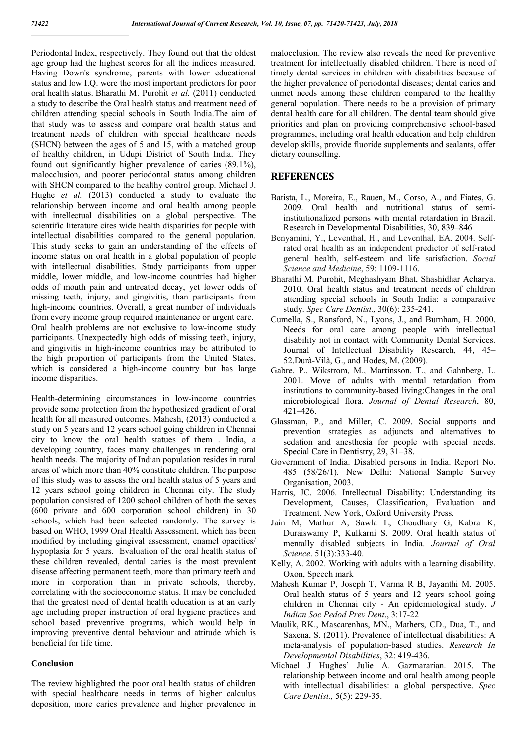Periodontal Index, respectively. They found out that the oldest age group had the highest scores for all the indices measured. Having Down's syndrome, parents with lower educational status and low I.Q. were the most important predictors for poor oral health status. Bharathi M. Purohit *et al.* (2011) conducted a study to describe the Oral health status and treatment need of children attending special schools in South India.The aim of that study was to assess and compare oral health status and treatment needs of children with special healthcare needs (SHCN) between the ages of 5 and 15, with a matched group of healthy children, in Udupi District of South India. They found out significantly higher prevalence of caries (89.1%), malocclusion, and poorer periodontal status among children with SHCN compared to the healthy control group. Michael J. Hughe *et al.* (2013) conducted a study to evaluate the relationship between income and oral health among people with intellectual disabilities on a global perspective. The scientific literature cites wide health disparities for people with intellectual disabilities compared to the general population. This study seeks to gain an understanding of the effects of income status on oral health in a global population of people with intellectual disabilities. Study participants from upper middle, lower middle, and low-income countries had higher odds of mouth pain and untreated decay, yet lower odds of missing teeth, injury, and gingivitis, than participants from high-income countries. Overall, a great number of individuals from every income group required maintenance or urgent care. Oral health problems are not exclusive to low-income study participants. Unexpectedly high odds of missing teeth, injury, and gingivitis in high-income countries may be attributed to the high proportion of participants from the United States, which is considered a high-income country but has large income disparities.

Health-determining circumstances in low-income countries provide some protection from the hypothesized gradient of oral health for all measured outcomes. Mahesh, (2013) conducted a study on 5 years and 12 years school going children in Chennai city to know the oral health statues of them . India, a developing country, faces many challenges in rendering oral health needs. The majority of Indian population resides in rural areas of which more than 40% constitute children. The purpose of this study was to assess the oral health status of 5 years and 12 years school going children in Chennai city. The study population consisted of 1200 school children of both the sexes (600 private and 600 corporation school children) in 30 schools, which had been selected randomly. The survey is based on WHO, 1999 Oral Health Assessment, which has been modified by including gingival assessment, enamel opacities/ hypoplasia for 5 years. Evaluation of the oral health status of these children revealed, dental caries is the most prevalent disease affecting permanent teeth, more than primary teeth and more in corporation than in private schools, thereby, correlating with the socioeconomic status. It may be concluded that the greatest need of dental health education is at an early age including proper instruction of oral hygiene practices and school based preventive programs, which would help in improving preventive dental behaviour and attitude which is beneficial for life time.

### **Conclusion**

The review highlighted the poor oral health status of children with special healthcare needs in terms of higher calculus deposition, more caries prevalence and higher prevalence in malocclusion. The review also reveals the need for preventive treatment for intellectually disabled children. There is need of timely dental services in children with disabilities because of the higher prevalence of periodontal diseases; dental caries and unmet needs among these children compared to the healthy general population. There needs to be a provision of primary dental health care for all children. The dental team should give priorities and plan on providing comprehensive school-based programmes, including oral health education and help children develop skills, provide fluoride supplements and sealants, offer dietary counselling.

## **REFERENCES**

- Batista, L., Moreira, E., Rauen, M., Corso, A., and Fiates, G. 2009. Oral health and nutritional status of semiinstitutionalized persons with mental retardation in Brazil. Research in Developmental Disabilities, 30, 839–846
- Benyamini, Y., Leventhal, H., and Leventhal, EA. 2004. Selfrated oral health as an independent predictor of self-rated general health, self-esteem and life satisfaction. *Social Science and Medicine*, 59: 1109-1116.
- Bharathi M. Purohit, Meghashyam Bhat, Shashidhar Acharya. 2010. Oral health status and treatment needs of children attending special schools in South India: a comparative study. *Spec Care Dentist.,* 30(6): 235-241.
- Cumella, S., Ransford, N., Lyons, J., and Burnham, H. 2000. Needs for oral care among people with intellectual disability not in contact with Community Dental Services. Journal of Intellectual Disability Research, 44, 45– 52.Durà-Vilà, G., and Hodes, M. (2009).
- Gabre, P., Wikstrom, M., Martinsson, T., and Gahnberg, L. 2001. Move of adults with mental retardation from institutions to community-based living:Changes in the oral microbiological flora. *Journal of Dental Research*, 80, 421–426.
- Glassman, P., and Miller, C. 2009. Social supports and prevention strategies as adjuncts and alternatives to sedation and anesthesia for people with special needs. Special Care in Dentistry, 29, 31–38.
- Government of India. Disabled persons in India. Report No. 485 (58/26/1). New Delhi: National Sample Survey Organisation, 2003.
- Harris, JC. 2006. Intellectual Disability: Understanding its Development, Causes, Classification, Evaluation and Treatment. New York, Oxford University Press.
- Jain M, Mathur A, Sawla L, Choudhary G, Kabra K, Duraiswamy P, Kulkarni S. 2009. Oral health status of mentally disabled subjects in India. *Journal of Oral Science*. 51(3):333-40.
- Kelly, A. 2002. Working with adults with a learning disability. Oxon, Speech mark
- Mahesh Kumar P, Joseph T, Varma R B, Jayanthi M. 2005. Oral health status of 5 years and 12 years school going children in Chennai city - An epidemiological study. *J Indian Soc Pedod Prev Dent*., 3:17-22
- Maulik, RK., Mascarenhas, MN., Mathers, CD., Dua, T., and Saxena, S. (2011). Prevalence of intellectual disabilities: A meta-analysis of population-based studies. *Research In Developmental Disabilities*, 32: 419-436.
- Michael J Hughes' Julie A. Gazmararian. 2015. The relationship between income and oral health among people with intellectual disabilities: a global perspective. *Spec Care Dentist.,* 5(5): 229-35.